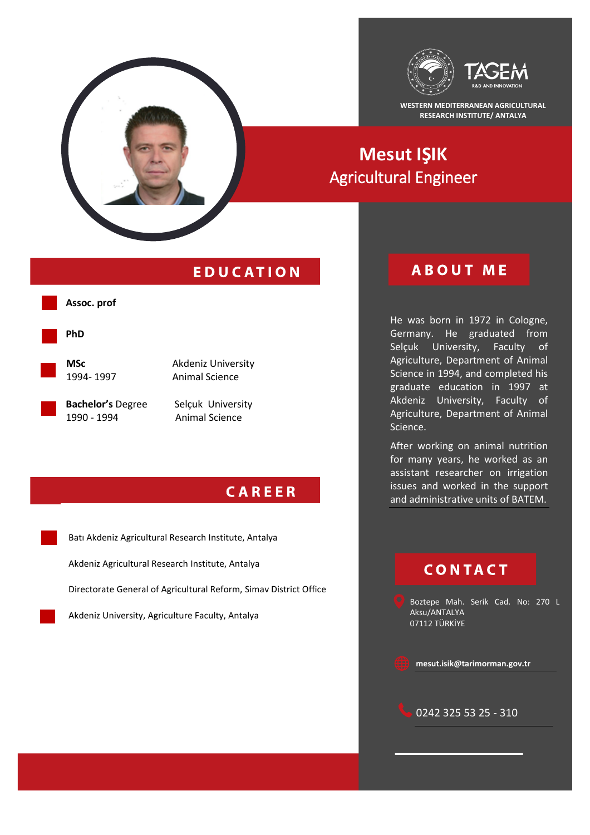

**WESTERN MEDITERRANEAN AGRICULTURAL RESEARCH INSTITUTE/ ANTALYA**

## **Mesut IŞIK** Agricultural Engineer

### **EDUCATION**

## **ABOUT ME**

He was born in 1972 in Cologne, Germany. He graduated from Selçuk University, Faculty of Agriculture, Department of Animal Science in 1994, and completed his graduate education in 1997 at Akdeniz University, Faculty of Agriculture, Department of Animal Science.

After working on animal nutrition for many years, he worked as an assistant researcher on irrigation issues and worked in the support and administrative units of BATEM.

## **CONTACT**

Boztepe Mah. Serik Cad. No: 270 L Aksu/ANTALYA 07112 TÜRKİYE







**PhD**

**MSc** Akdeniz University 1994- 1997 Animal Science

**Bachelor's** Degree Selçuk University<br>1990 - 1994 **Animal Science** 

**Animal Science** 

### **CAREER**

Batı Akdeniz Agricultural Research Institute, Antalya Akdeniz Agricultural Research Institute, Antalya

Directorate General of Agricultural Reform, Simav District Office

Akdeniz University, Agriculture Faculty, Antalya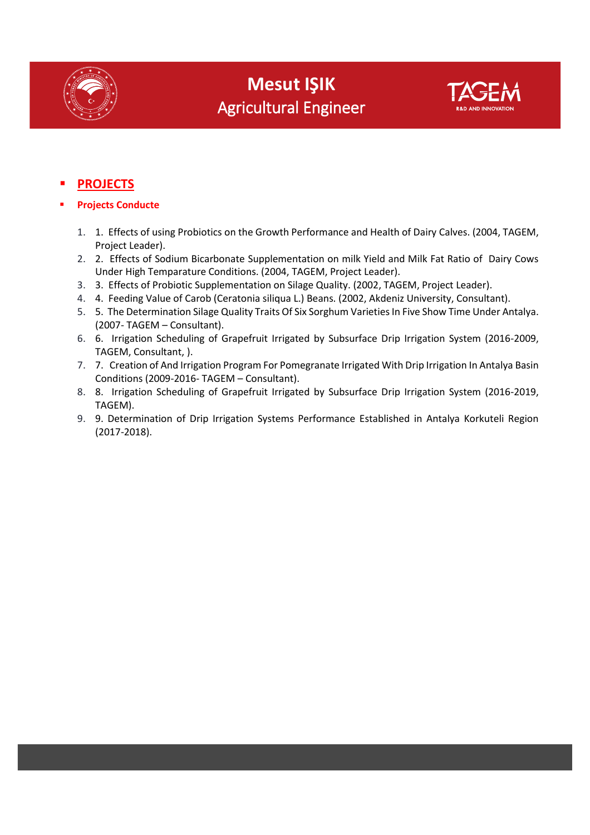



### **PROJECTS**

- **Projects Conducte**
	- 1. 1. Effects of using Probiotics on the Growth Performance and Health of Dairy Calves. (2004, TAGEM, Project Leader).
	- 2. 2. Effects of Sodium Bicarbonate Supplementation on milk Yield and Milk Fat Ratio of Dairy Cows Under High Temparature Conditions. (2004, TAGEM, Project Leader).
	- 3. 3. Effects of Probiotic Supplementation on Silage Quality. (2002, TAGEM, Project Leader).
	- 4. 4. Feeding Value of Carob (Ceratonia siliqua L.) Beans. (2002, Akdeniz University, Consultant).
	- 5. 5. The Determination Silage Quality Traits Of Six Sorghum Varieties In Five Show Time Under Antalya. (2007- TAGEM – Consultant).
	- 6. 6. Irrigation Scheduling of Grapefruit Irrigated by Subsurface Drip Irrigation System (2016-2009, TAGEM, Consultant, ).
	- 7. 7. Creation of And Irrigation Program For Pomegranate Irrigated With Drip Irrigation In Antalya Basin Conditions (2009-2016- TAGEM – Consultant).
	- 8. 8. Irrigation Scheduling of Grapefruit Irrigated by Subsurface Drip Irrigation System (2016-2019, TAGEM).
	- 9. 9. Determination of Drip Irrigation Systems Performance Established in Antalya Korkuteli Region (2017-2018).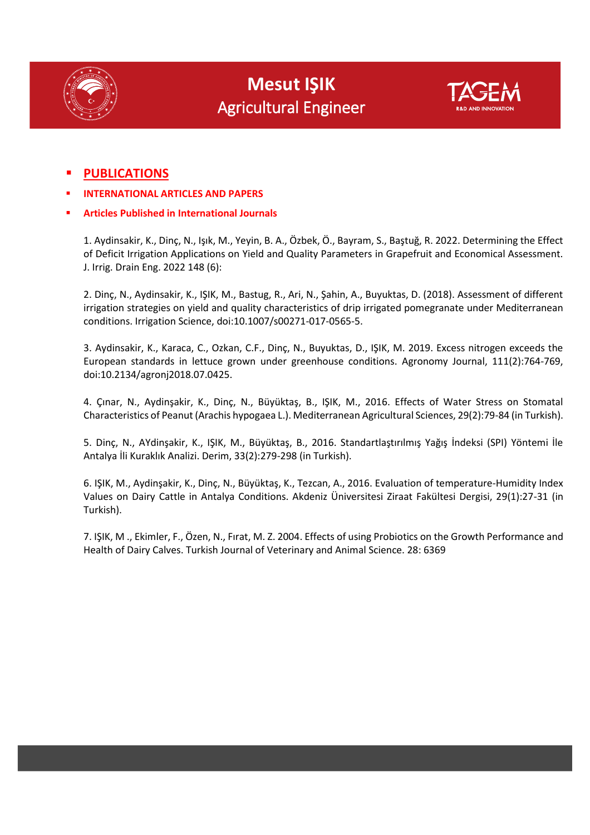



### **PUBLICATIONS**

- **INTERNATIONAL ARTICLES AND PAPERS**
- **Articles Published in International Journals**

1. Aydinsakir, K., Dinç, N., Işık, M., Yeyin, B. A., Özbek, Ö., Bayram, S., Baştuğ, R. 2022. Determining the Effect of Deficit Irrigation Applications on Yield and Quality Parameters in Grapefruit and Economical Assessment. J. Irrig. Drain Eng. 2022 148 (6):

2. Dinç, N., Aydinsakir, K., IŞIK, M., Bastug, R., Ari, N., Şahin, A., Buyuktas, D. (2018). Assessment of different irrigation strategies on yield and quality characteristics of drip irrigated pomegranate under Mediterranean conditions. Irrigation Science, doi:10.1007/s00271-017-0565-5.

3. Aydinsakir, K., Karaca, C., Ozkan, C.F., Dinç, N., Buyuktas, D., IŞIK, M. 2019. Excess nitrogen exceeds the European standards in lettuce grown under greenhouse conditions. Agronomy Journal, 111(2):764-769, doi:10.2134/agronj2018.07.0425.

4. Çınar, N., Aydinşakir, K., Dinç, N., Büyüktaş, B., IŞIK, M., 2016. Effects of Water Stress on Stomatal Characteristics of Peanut (Arachis hypogaea L.). Mediterranean Agricultural Sciences, 29(2):79-84 (in Turkish).

5. Dinç, N., AYdinşakir, K., IŞIK, M., Büyüktaş, B., 2016. Standartlaştırılmış Yağış İndeksi (SPI) Yöntemi İle Antalya İli Kuraklık Analizi. Derim, 33(2):279-298 (in Turkish).

6. IŞIK, M., Aydinşakir, K., Dinç, N., Büyüktaş, K., Tezcan, A., 2016. Evaluation of temperature-Humidity Index Values on Dairy Cattle in Antalya Conditions. Akdeniz Üniversitesi Ziraat Fakültesi Dergisi, 29(1):27-31 (in Turkish).

7. IŞIK, M ., Ekimler, F., Özen, N., Fırat, M. Z. 2004. Effects of using Probiotics on the Growth Performance and Health of Dairy Calves. Turkish Journal of Veterinary and Animal Science. 28: 6369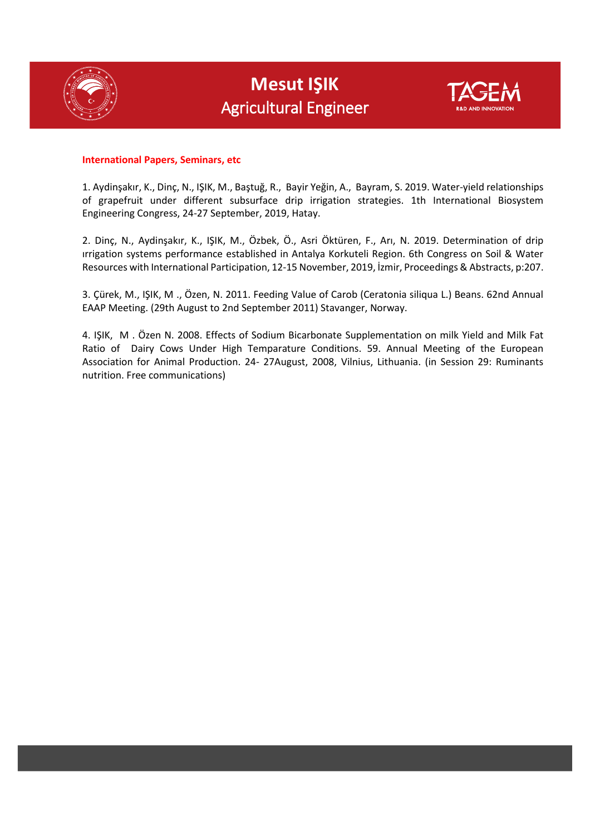



#### **International Papers, Seminars, etc**

1. Aydinşakır, K., Dinç, N., IŞIK, M., Baştuğ, R., Bayir Yeğin, A., Bayram, S. 2019. Water-yield relationships of grapefruit under different subsurface drip irrigation strategies. 1th International Biosystem Engineering Congress, 24-27 September, 2019, Hatay.

2. Dinç, N., Aydinşakır, K., IŞIK, M., Özbek, Ö., Asri Öktüren, F., Arı, N. 2019. Determination of drip ırrigation systems performance established in Antalya Korkuteli Region. 6th Congress on Soil & Water Resources with International Participation, 12-15 November, 2019, İzmir, Proceedings & Abstracts, p:207.

3. Çürek, M., IŞIK, M ., Özen, N. 2011. Feeding Value of Carob (Ceratonia siliqua L.) Beans. 62nd Annual EAAP Meeting. (29th August to 2nd September 2011) Stavanger, Norway.

4. IŞIK, M . Özen N. 2008. Effects of Sodium Bicarbonate Supplementation on milk Yield and Milk Fat Ratio of Dairy Cows Under High Temparature Conditions. 59. Annual Meeting of the European Association for Animal Production. 24- 27August, 2008, Vilnius, Lithuania. (in Session 29: Ruminants nutrition. Free communications)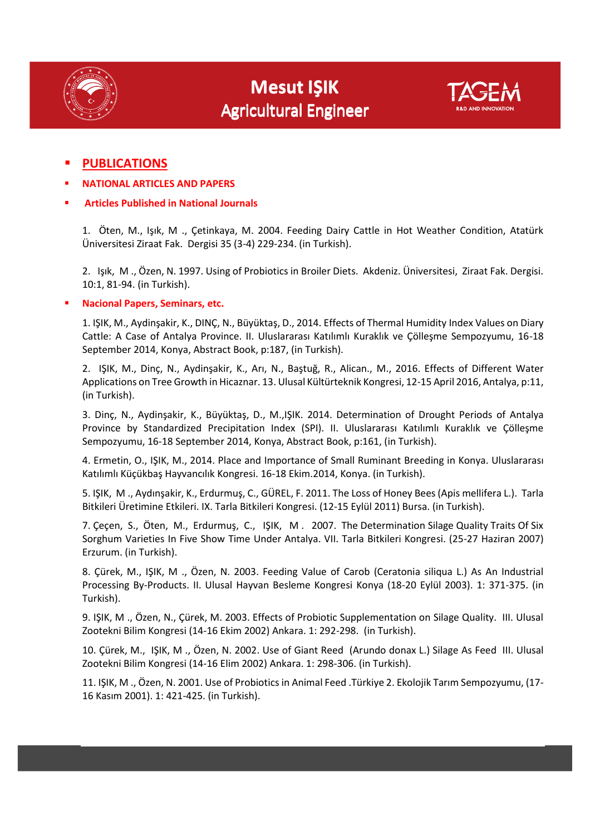

# **Mesut IŞIK Mesut IŞIK** Agricultural Engineer Agricultural Engineer



- **NATIONAL ARTICLES AND PAPERS**
- **Articles Published in National Journals**

1. Öten, M., Işık, M ., Çetinkaya, M. 2004. Feeding Dairy Cattle in Hot Weather Condition, Atatürk Üniversitesi Ziraat Fak. Dergisi 35 (3-4) 229-234. (in Turkish).

2. Işık, M ., Özen, N. 1997. Using of Probiotics in Broiler Diets. Akdeniz. Üniversitesi, Ziraat Fak. Dergisi. 10:1, 81-94. (in Turkish).

### **Nacional Papers, Seminars, etc.**

1. IŞIK, M., Aydinşakir, K., DINÇ, N., Büyüktaş, D., 2014. Effects of Thermal Humidity Index Values on Diary Cattle: A Case of Antalya Province. II. Uluslararası Katılımlı Kuraklık ve Çölleşme Sempozyumu, 16-18 September 2014, Konya, Abstract Book, p:187, (in Turkish).

2. IŞIK, M., Dinç, N., Aydinşakir, K., Arı, N., Baştuğ, R., Alican., M., 2016. Effects of Different Water Applications on Tree Growth in Hicaznar. 13. Ulusal Kültürteknik Kongresi, 12-15 April 2016, Antalya, p:11, (in Turkish).

3. Dinç, N., Aydinşakir, K., Büyüktaş, D., M.,IŞIK. 2014. Determination of Drought Periods of Antalya Province by Standardized Precipitation Index (SPI). II. Uluslararası Katılımlı Kuraklık ve Çölleşme Sempozyumu, 16-18 September 2014, Konya, Abstract Book, p:161, (in Turkish).

4. Ermetin, O., IŞIK, M., 2014. Place and Importance of Small Ruminant Breeding in Konya. Uluslararası Katılımlı Küçükbaş Hayvancılık Kongresi. 16-18 Ekim.2014, Konya. (in Turkish).

5. IŞIK, M ., Aydınşakir, K., Erdurmuş, C., GÜREL, F. 2011. The Loss of Honey Bees (Apis mellifera L.). Tarla Bitkileri Üretimine Etkileri. IX. Tarla Bitkileri Kongresi. (12-15 Eylül 2011) Bursa. (in Turkish).

7. Çeçen, S., Öten, M., Erdurmuş, C., IŞIK, M . 2007. The Determination Silage Quality Traits Of Six Sorghum Varieties In Five Show Time Under Antalya. VII. Tarla Bitkileri Kongresi. (25-27 Haziran 2007) Erzurum. (in Turkish).

8. Çürek, M., IŞIK, M ., Özen, N. 2003. Feeding Value of Carob (Ceratonia siliqua L.) As An Industrial Processing By-Products. II. Ulusal Hayvan Besleme Kongresi Konya (18-20 Eylül 2003). 1: 371-375. (in Turkish).

9. IŞIK, M ., Özen, N., Çürek, M. 2003. Effects of Probiotic Supplementation on Silage Quality. III. Ulusal Zootekni Bilim Kongresi (14-16 Ekim 2002) Ankara. 1: 292-298. (in Turkish).

10. Çürek, M., IŞIK, M ., Özen, N. 2002. Use of Giant Reed (Arundo donax L.) Silage As Feed III. Ulusal Zootekni Bilim Kongresi (14-16 Elim 2002) Ankara. 1: 298-306. (in Turkish).

11. IŞIK, M ., Özen, N. 2001. Use of Probiotics in Animal Feed .Türkiye 2. Ekolojik Tarım Sempozyumu, (17- 16 Kasım 2001). 1: 421-425. (in Turkish).